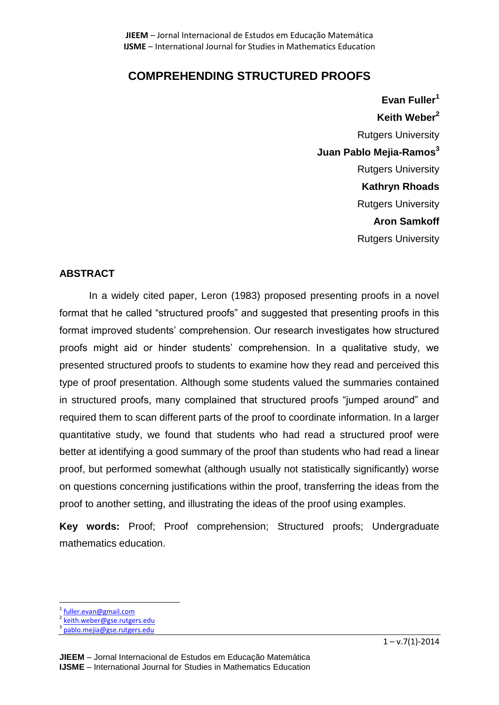# **COMPREHENDING STRUCTURED PROOFS**

**Evan Fuller<sup>1</sup> Keith Weber<sup>2</sup>** Rutgers University **Juan Pablo Mejia-Ramos<sup>3</sup>** Rutgers University **Kathryn Rhoads** Rutgers University **Aron Samkoff** Rutgers University

# **ABSTRACT**

In a widely cited paper, Leron (1983) proposed presenting proofs in a novel format that he called "structured proofs" and suggested that presenting proofs in this format improved students' comprehension. Our research investigates how structured proofs might aid or hinder students' comprehension. In a qualitative study, we presented structured proofs to students to examine how they read and perceived this type of proof presentation. Although some students valued the summaries contained in structured proofs, many complained that structured proofs "jumped around" and required them to scan different parts of the proof to coordinate information. In a larger quantitative study, we found that students who had read a structured proof were better at identifying a good summary of the proof than students who had read a linear proof, but performed somewhat (although usually not statistically significantly) worse on questions concerning justifications within the proof, transferring the ideas from the proof to another setting, and illustrating the ideas of the proof using examples.

**Key words:** Proof; Proof comprehension; Structured proofs; Undergraduate mathematics education.

<sup>1</sup> [fuller.evan@gmail.com](mailto:fuller.evan@gmail.com)

 $\overline{a}$ 

<sup>&</sup>lt;sup>2</sup> [keith.weber@gse.rutgers.edu](mailto:keith.weber@gse.rutgers.edu)<br><sup>3</sup> pable meija@gse.rutgers.edu

[pablo.mejia@gse.rutgers.edu](mailto:pablo.mejia@gse.rutgers.edu)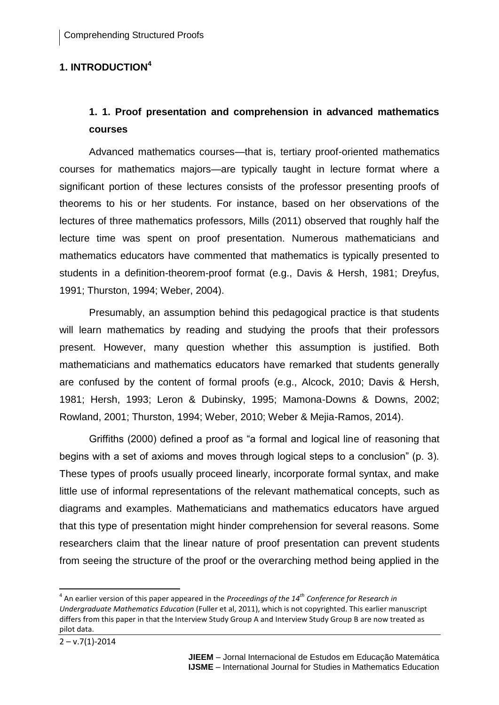# **1. INTRODUCTION<sup>4</sup>**

# **1. 1. Proof presentation and comprehension in advanced mathematics courses**

Advanced mathematics courses—that is, tertiary proof-oriented mathematics courses for mathematics majors—are typically taught in lecture format where a significant portion of these lectures consists of the professor presenting proofs of theorems to his or her students. For instance, based on her observations of the lectures of three mathematics professors, Mills (2011) observed that roughly half the lecture time was spent on proof presentation. Numerous mathematicians and mathematics educators have commented that mathematics is typically presented to students in a definition-theorem-proof format (e.g., Davis & Hersh, 1981; Dreyfus, 1991; Thurston, 1994; Weber, 2004).

Presumably, an assumption behind this pedagogical practice is that students will learn mathematics by reading and studying the proofs that their professors present. However, many question whether this assumption is justified. Both mathematicians and mathematics educators have remarked that students generally are confused by the content of formal proofs (e.g., Alcock, 2010; Davis & Hersh, 1981; Hersh, 1993; Leron & Dubinsky, 1995; Mamona-Downs & Downs, 2002; Rowland, 2001; Thurston, 1994; Weber, 2010; Weber & Mejia-Ramos, 2014).

Griffiths (2000) defined a proof as "a formal and logical line of reasoning that begins with a set of axioms and moves through logical steps to a conclusion" (p. 3). These types of proofs usually proceed linearly, incorporate formal syntax, and make little use of informal representations of the relevant mathematical concepts, such as diagrams and examples. Mathematicians and mathematics educators have argued that this type of presentation might hinder comprehension for several reasons. Some researchers claim that the linear nature of proof presentation can prevent students from seeing the structure of the proof or the overarching method being applied in the

 $\overline{a}$ 

<sup>4</sup> An earlier version of this paper appeared in the *Proceedings of the 14th Conference for Research in Undergraduate Mathematics Education* (Fuller et al, 2011), which is not copyrighted. This earlier manuscript differs from this paper in that the Interview Study Group A and Interview Study Group B are now treated as pilot data.

 $2 - v.7(1) - 2014$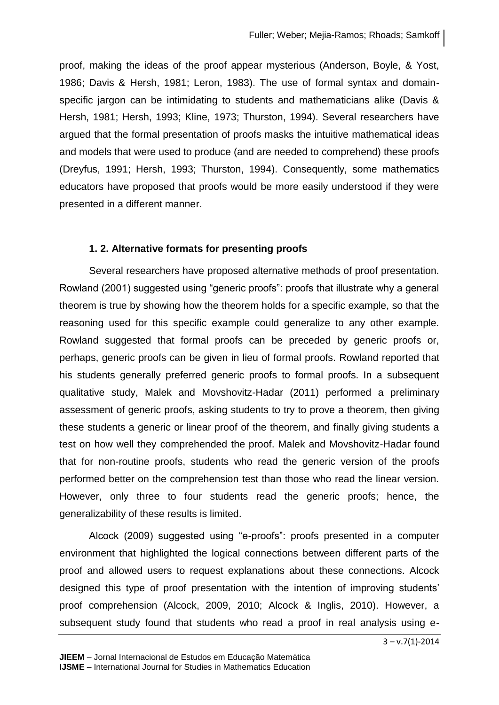proof, making the ideas of the proof appear mysterious (Anderson, Boyle, & Yost, 1986; Davis & Hersh, 1981; Leron, 1983). The use of formal syntax and domainspecific jargon can be intimidating to students and mathematicians alike (Davis & Hersh, 1981; Hersh, 1993; Kline, 1973; Thurston, 1994). Several researchers have argued that the formal presentation of proofs masks the intuitive mathematical ideas and models that were used to produce (and are needed to comprehend) these proofs (Dreyfus, 1991; Hersh, 1993; Thurston, 1994). Consequently, some mathematics educators have proposed that proofs would be more easily understood if they were presented in a different manner.

## **1. 2. Alternative formats for presenting proofs**

Several researchers have proposed alternative methods of proof presentation. Rowland (2001) suggested using "generic proofs": proofs that illustrate why a general theorem is true by showing how the theorem holds for a specific example, so that the reasoning used for this specific example could generalize to any other example. Rowland suggested that formal proofs can be preceded by generic proofs or, perhaps, generic proofs can be given in lieu of formal proofs. Rowland reported that his students generally preferred generic proofs to formal proofs. In a subsequent qualitative study, Malek and Movshovitz-Hadar (2011) performed a preliminary assessment of generic proofs, asking students to try to prove a theorem, then giving these students a generic or linear proof of the theorem, and finally giving students a test on how well they comprehended the proof. Malek and Movshovitz-Hadar found that for non-routine proofs, students who read the generic version of the proofs performed better on the comprehension test than those who read the linear version. However, only three to four students read the generic proofs; hence, the generalizability of these results is limited.

Alcock (2009) suggested using "e-proofs": proofs presented in a computer environment that highlighted the logical connections between different parts of the proof and allowed users to request explanations about these connections. Alcock designed this type of proof presentation with the intention of improving students' proof comprehension (Alcock, 2009, 2010; Alcock & Inglis, 2010). However, a subsequent study found that students who read a proof in real analysis using e-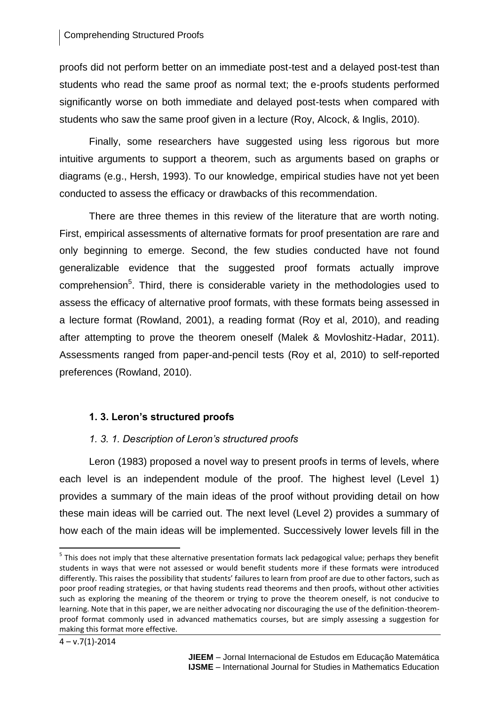### Comprehending Structured Proofs

proofs did not perform better on an immediate post-test and a delayed post-test than students who read the same proof as normal text; the e-proofs students performed significantly worse on both immediate and delayed post-tests when compared with students who saw the same proof given in a lecture (Roy, Alcock, & Inglis, 2010).

Finally, some researchers have suggested using less rigorous but more intuitive arguments to support a theorem, such as arguments based on graphs or diagrams (e.g., Hersh, 1993). To our knowledge, empirical studies have not yet been conducted to assess the efficacy or drawbacks of this recommendation.

There are three themes in this review of the literature that are worth noting. First, empirical assessments of alternative formats for proof presentation are rare and only beginning to emerge. Second, the few studies conducted have not found generalizable evidence that the suggested proof formats actually improve comprehension<sup>5</sup>. Third, there is considerable variety in the methodologies used to assess the efficacy of alternative proof formats, with these formats being assessed in a lecture format (Rowland, 2001), a reading format (Roy et al, 2010), and reading after attempting to prove the theorem oneself (Malek & Movloshitz-Hadar, 2011). Assessments ranged from paper-and-pencil tests (Roy et al, 2010) to self-reported preferences (Rowland, 2010).

## **1. 3. Leron's structured proofs**

## *1. 3. 1. Description of Leron's structured proofs*

Leron (1983) proposed a novel way to present proofs in terms of levels, where each level is an independent module of the proof. The highest level (Level 1) provides a summary of the main ideas of the proof without providing detail on how these main ideas will be carried out. The next level (Level 2) provides a summary of how each of the main ideas will be implemented. Successively lower levels fill in the

 $\overline{\phantom{a}}$ 

<sup>&</sup>lt;sup>5</sup> This does not imply that these alternative presentation formats lack pedagogical value; perhaps they benefit students in ways that were not assessed or would benefit students more if these formats were introduced differently. This raises the possibility that students' failures to learn from proof are due to other factors, such as poor proof reading strategies, or that having students read theorems and then proofs, without other activities such as exploring the meaning of the theorem or trying to prove the theorem oneself, is not conducive to learning. Note that in this paper, we are neither advocating nor discouraging the use of the definition-theoremproof format commonly used in advanced mathematics courses, but are simply assessing a suggestion for making this format more effective.

 $4 - v.7(1) - 2014$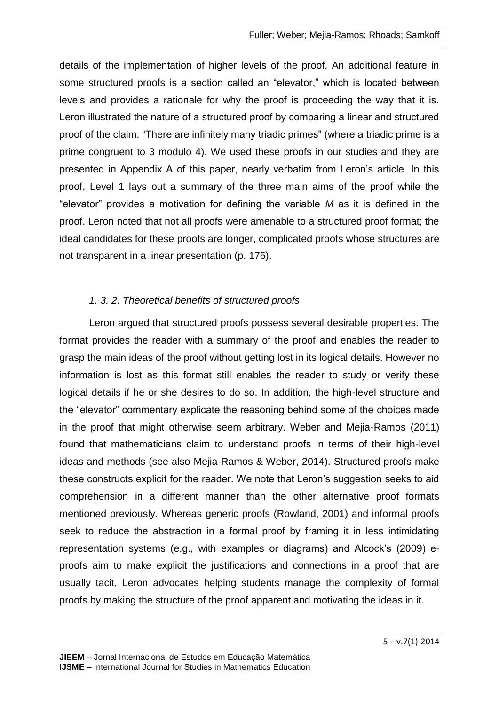details of the implementation of higher levels of the proof. An additional feature in some structured proofs is a section called an "elevator," which is located between levels and provides a rationale for why the proof is proceeding the way that it is. Leron illustrated the nature of a structured proof by comparing a linear and structured proof of the claim: "There are infinitely many triadic primes" (where a triadic prime is a prime congruent to 3 modulo 4). We used these proofs in our studies and they are presented in Appendix A of this paper, nearly verbatim from Leron's article. In this proof, Level 1 lays out a summary of the three main aims of the proof while the "elevator" provides a motivation for defining the variable *M* as it is defined in the proof. Leron noted that not all proofs were amenable to a structured proof format; the ideal candidates for these proofs are longer, complicated proofs whose structures are not transparent in a linear presentation (p. 176).

## *1. 3. 2. Theoretical benefits of structured proofs*

Leron argued that structured proofs possess several desirable properties. The format provides the reader with a summary of the proof and enables the reader to grasp the main ideas of the proof without getting lost in its logical details. However no information is lost as this format still enables the reader to study or verify these logical details if he or she desires to do so. In addition, the high-level structure and the "elevator" commentary explicate the reasoning behind some of the choices made in the proof that might otherwise seem arbitrary. Weber and Mejia-Ramos (2011) found that mathematicians claim to understand proofs in terms of their high-level ideas and methods (see also Mejia-Ramos & Weber, 2014). Structured proofs make these constructs explicit for the reader. We note that Leron's suggestion seeks to aid comprehension in a different manner than the other alternative proof formats mentioned previously. Whereas generic proofs (Rowland, 2001) and informal proofs seek to reduce the abstraction in a formal proof by framing it in less intimidating representation systems (e.g., with examples or diagrams) and Alcock's (2009) eproofs aim to make explicit the justifications and connections in a proof that are usually tacit, Leron advocates helping students manage the complexity of formal proofs by making the structure of the proof apparent and motivating the ideas in it.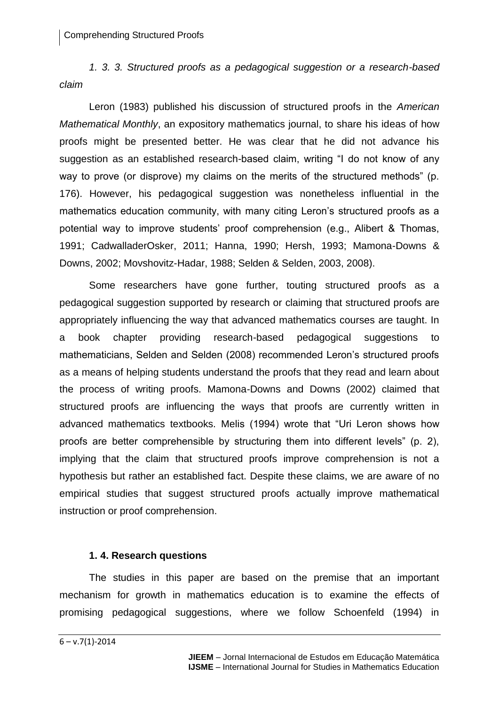*1. 3. 3. Structured proofs as a pedagogical suggestion or a research-based claim*

Leron (1983) published his discussion of structured proofs in the *American Mathematical Monthly*, an expository mathematics journal, to share his ideas of how proofs might be presented better. He was clear that he did not advance his suggestion as an established research-based claim, writing "I do not know of any way to prove (or disprove) my claims on the merits of the structured methods" (p. 176). However, his pedagogical suggestion was nonetheless influential in the mathematics education community, with many citing Leron's structured proofs as a potential way to improve students' proof comprehension (e.g., Alibert & Thomas, 1991; CadwalladerOsker, 2011; Hanna, 1990; Hersh, 1993; Mamona-Downs & Downs, 2002; Movshovitz-Hadar, 1988; Selden & Selden, 2003, 2008).

Some researchers have gone further, touting structured proofs as a pedagogical suggestion supported by research or claiming that structured proofs are appropriately influencing the way that advanced mathematics courses are taught. In a book chapter providing research-based pedagogical suggestions to mathematicians, Selden and Selden (2008) recommended Leron's structured proofs as a means of helping students understand the proofs that they read and learn about the process of writing proofs. Mamona-Downs and Downs (2002) claimed that structured proofs are influencing the ways that proofs are currently written in advanced mathematics textbooks. Melis (1994) wrote that "Uri Leron shows how proofs are better comprehensible by structuring them into different levels" (p. 2), implying that the claim that structured proofs improve comprehension is not a hypothesis but rather an established fact. Despite these claims, we are aware of no empirical studies that suggest structured proofs actually improve mathematical instruction or proof comprehension.

### **1. 4. Research questions**

The studies in this paper are based on the premise that an important mechanism for growth in mathematics education is to examine the effects of promising pedagogical suggestions, where we follow Schoenfeld (1994) in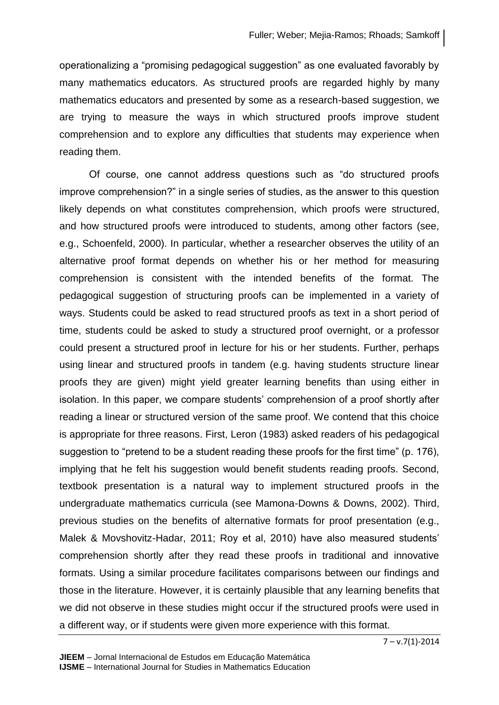operationalizing a "promising pedagogical suggestion" as one evaluated favorably by many mathematics educators. As structured proofs are regarded highly by many mathematics educators and presented by some as a research-based suggestion, we are trying to measure the ways in which structured proofs improve student comprehension and to explore any difficulties that students may experience when reading them.

Of course, one cannot address questions such as "do structured proofs improve comprehension?" in a single series of studies, as the answer to this question likely depends on what constitutes comprehension, which proofs were structured, and how structured proofs were introduced to students, among other factors (see, e.g., Schoenfeld, 2000). In particular, whether a researcher observes the utility of an alternative proof format depends on whether his or her method for measuring comprehension is consistent with the intended benefits of the format. The pedagogical suggestion of structuring proofs can be implemented in a variety of ways. Students could be asked to read structured proofs as text in a short period of time, students could be asked to study a structured proof overnight, or a professor could present a structured proof in lecture for his or her students. Further, perhaps using linear and structured proofs in tandem (e.g. having students structure linear proofs they are given) might yield greater learning benefits than using either in isolation. In this paper, we compare students' comprehension of a proof shortly after reading a linear or structured version of the same proof. We contend that this choice is appropriate for three reasons. First, Leron (1983) asked readers of his pedagogical suggestion to "pretend to be a student reading these proofs for the first time" (p. 176), implying that he felt his suggestion would benefit students reading proofs. Second, textbook presentation is a natural way to implement structured proofs in the undergraduate mathematics curricula (see Mamona-Downs & Downs, 2002). Third, previous studies on the benefits of alternative formats for proof presentation (e.g., Malek & Movshovitz-Hadar, 2011; Roy et al, 2010) have also measured students' comprehension shortly after they read these proofs in traditional and innovative formats. Using a similar procedure facilitates comparisons between our findings and those in the literature. However, it is certainly plausible that any learning benefits that we did not observe in these studies might occur if the structured proofs were used in a different way, or if students were given more experience with this format.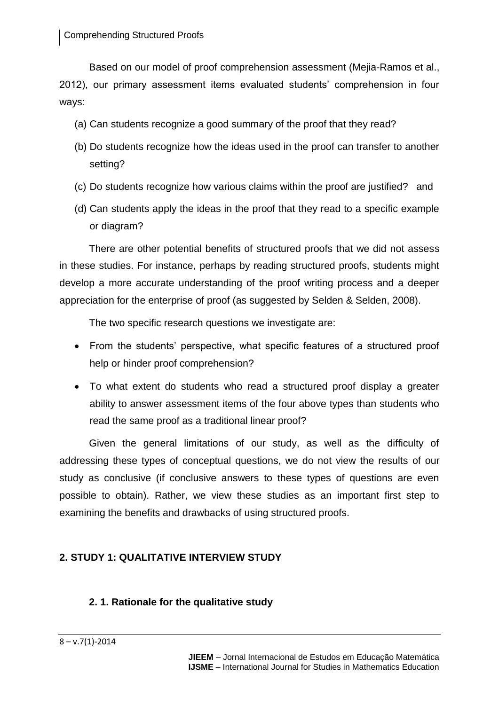Based on our model of proof comprehension assessment (Mejia-Ramos et al., 2012), our primary assessment items evaluated students' comprehension in four ways:

- (a) Can students recognize a good summary of the proof that they read?
- (b) Do students recognize how the ideas used in the proof can transfer to another setting?
- (c) Do students recognize how various claims within the proof are justified? and
- (d) Can students apply the ideas in the proof that they read to a specific example or diagram?

There are other potential benefits of structured proofs that we did not assess in these studies. For instance, perhaps by reading structured proofs, students might develop a more accurate understanding of the proof writing process and a deeper appreciation for the enterprise of proof (as suggested by Selden & Selden, 2008).

The two specific research questions we investigate are:

- From the students' perspective, what specific features of a structured proof help or hinder proof comprehension?
- To what extent do students who read a structured proof display a greater ability to answer assessment items of the four above types than students who read the same proof as a traditional linear proof?

Given the general limitations of our study, as well as the difficulty of addressing these types of conceptual questions, we do not view the results of our study as conclusive (if conclusive answers to these types of questions are even possible to obtain). Rather, we view these studies as an important first step to examining the benefits and drawbacks of using structured proofs.

# **2. STUDY 1: QUALITATIVE INTERVIEW STUDY**

# **2. 1. Rationale for the qualitative study**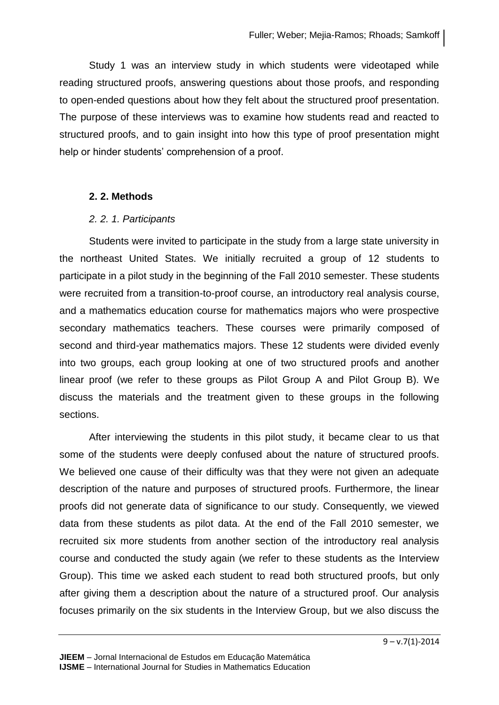Study 1 was an interview study in which students were videotaped while reading structured proofs, answering questions about those proofs, and responding to open-ended questions about how they felt about the structured proof presentation. The purpose of these interviews was to examine how students read and reacted to structured proofs, and to gain insight into how this type of proof presentation might help or hinder students' comprehension of a proof.

### **2. 2. Methods**

### *2. 2. 1. Participants*

Students were invited to participate in the study from a large state university in the northeast United States. We initially recruited a group of 12 students to participate in a pilot study in the beginning of the Fall 2010 semester. These students were recruited from a transition-to-proof course, an introductory real analysis course, and a mathematics education course for mathematics majors who were prospective secondary mathematics teachers. These courses were primarily composed of second and third-year mathematics majors. These 12 students were divided evenly into two groups, each group looking at one of two structured proofs and another linear proof (we refer to these groups as Pilot Group A and Pilot Group B). We discuss the materials and the treatment given to these groups in the following sections.

After interviewing the students in this pilot study, it became clear to us that some of the students were deeply confused about the nature of structured proofs. We believed one cause of their difficulty was that they were not given an adequate description of the nature and purposes of structured proofs. Furthermore, the linear proofs did not generate data of significance to our study. Consequently, we viewed data from these students as pilot data. At the end of the Fall 2010 semester, we recruited six more students from another section of the introductory real analysis course and conducted the study again (we refer to these students as the Interview Group). This time we asked each student to read both structured proofs, but only after giving them a description about the nature of a structured proof. Our analysis focuses primarily on the six students in the Interview Group, but we also discuss the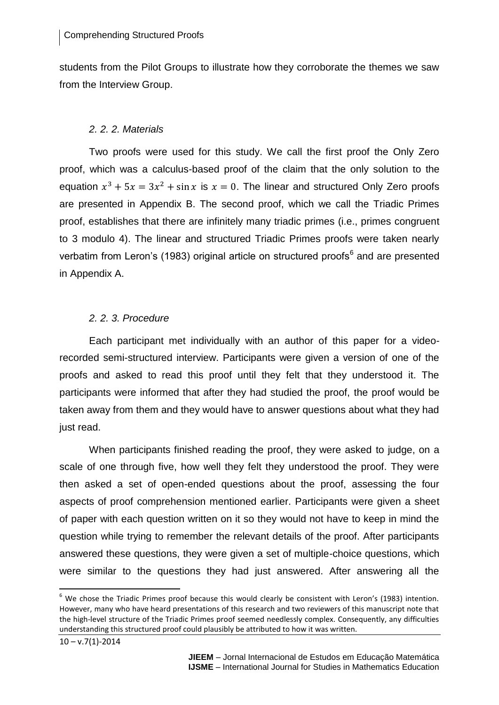students from the Pilot Groups to illustrate how they corroborate the themes we saw from the Interview Group.

### *2. 2. 2. Materials*

Two proofs were used for this study. We call the first proof the Only Zero proof, which was a calculus-based proof of the claim that the only solution to the equation  $x^3 + 5x = 3x^2 + \sin x$  is  $x = 0$ . The linear and structured Only Zero proofs are presented in Appendix B. The second proof, which we call the Triadic Primes proof, establishes that there are infinitely many triadic primes (i.e., primes congruent to 3 modulo 4). The linear and structured Triadic Primes proofs were taken nearly verbatim from Leron's (1983) original article on structured proofs<sup>6</sup> and are presented in Appendix A.

### *2. 2. 3. Procedure*

Each participant met individually with an author of this paper for a videorecorded semi-structured interview. Participants were given a version of one of the proofs and asked to read this proof until they felt that they understood it. The participants were informed that after they had studied the proof, the proof would be taken away from them and they would have to answer questions about what they had just read.

When participants finished reading the proof, they were asked to judge, on a scale of one through five, how well they felt they understood the proof. They were then asked a set of open-ended questions about the proof, assessing the four aspects of proof comprehension mentioned earlier. Participants were given a sheet of paper with each question written on it so they would not have to keep in mind the question while trying to remember the relevant details of the proof. After participants answered these questions, they were given a set of multiple-choice questions, which were similar to the questions they had just answered. After answering all the

 $\overline{a}$ 

 $6$  We chose the Triadic Primes proof because this would clearly be consistent with Leron's (1983) intention. However, many who have heard presentations of this research and two reviewers of this manuscript note that the high-level structure of the Triadic Primes proof seemed needlessly complex. Consequently, any difficulties understanding this structured proof could plausibly be attributed to how it was written.

 $10 - v.7(1) - 2014$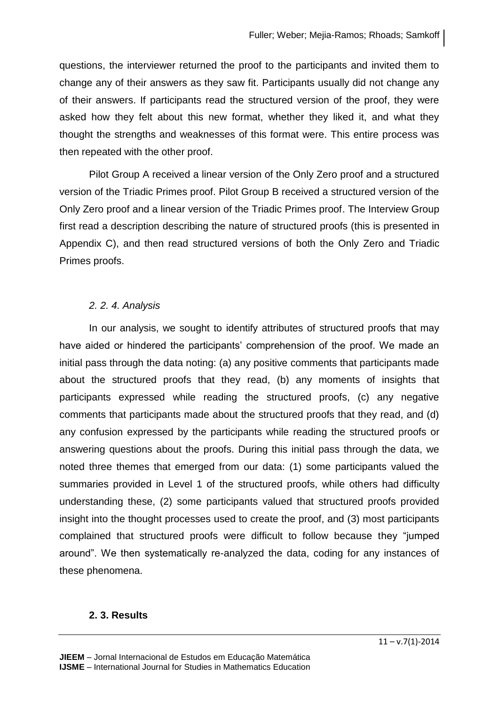questions, the interviewer returned the proof to the participants and invited them to change any of their answers as they saw fit. Participants usually did not change any of their answers. If participants read the structured version of the proof, they were asked how they felt about this new format, whether they liked it, and what they thought the strengths and weaknesses of this format were. This entire process was then repeated with the other proof.

Pilot Group A received a linear version of the Only Zero proof and a structured version of the Triadic Primes proof. Pilot Group B received a structured version of the Only Zero proof and a linear version of the Triadic Primes proof. The Interview Group first read a description describing the nature of structured proofs (this is presented in Appendix C), and then read structured versions of both the Only Zero and Triadic Primes proofs.

## *2. 2. 4. Analysis*

In our analysis, we sought to identify attributes of structured proofs that may have aided or hindered the participants' comprehension of the proof. We made an initial pass through the data noting: (a) any positive comments that participants made about the structured proofs that they read, (b) any moments of insights that participants expressed while reading the structured proofs, (c) any negative comments that participants made about the structured proofs that they read, and (d) any confusion expressed by the participants while reading the structured proofs or answering questions about the proofs. During this initial pass through the data, we noted three themes that emerged from our data: (1) some participants valued the summaries provided in Level 1 of the structured proofs, while others had difficulty understanding these, (2) some participants valued that structured proofs provided insight into the thought processes used to create the proof, and (3) most participants complained that structured proofs were difficult to follow because they "jumped around". We then systematically re-analyzed the data, coding for any instances of these phenomena.

### **2. 3. Results**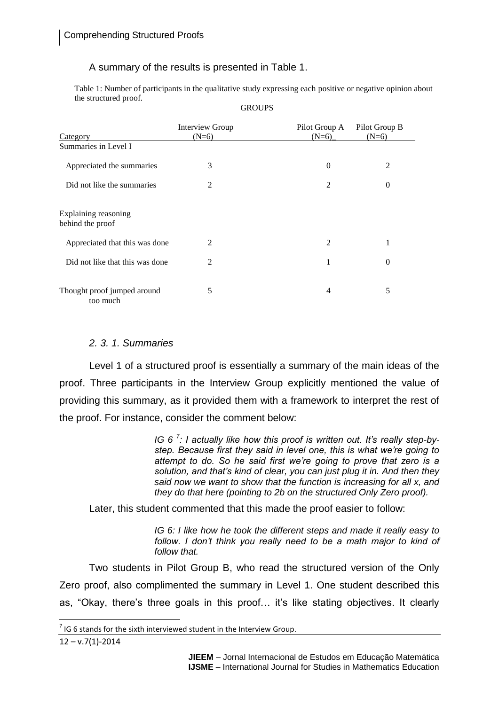### A summary of the results is presented in Table 1.

Table 1: Number of participants in the qualitative study expressing each positive or negative opinion about the structured proof. **GROUPS** 

|                                          | Interview Group | Pilot Group A  | Pilot Group B    |
|------------------------------------------|-----------------|----------------|------------------|
| Category                                 | $(N=6)$         | $(N=6)$        | $(N=6)$          |
| Summaries in Level I                     |                 |                |                  |
| Appreciated the summaries                | 3               | 0              | 2                |
| Did not like the summaries               | $\overline{2}$  | $\overline{2}$ | $\boldsymbol{0}$ |
| Explaining reasoning<br>behind the proof |                 |                |                  |
| Appreciated that this was done           | $\mathfrak{D}$  | 2              |                  |
| Did not like that this was done          | $\mathfrak{D}$  | 1              | $\theta$         |
| Thought proof jumped around<br>too much  | 5               | 4              | 5                |

### *2. 3. 1. Summaries*

Level 1 of a structured proof is essentially a summary of the main ideas of the proof. Three participants in the Interview Group explicitly mentioned the value of providing this summary, as it provided them with a framework to interpret the rest of the proof. For instance, consider the comment below:

> *IG 6 <sup>7</sup> : I actually like how this proof is written out. It's really step-bystep. Because first they said in level one, this is what we're going to attempt to do. So he said first we're going to prove that zero is a solution, and that's kind of clear, you can just plug it in. And then they said now we want to show that the function is increasing for all x, and they do that here (pointing to 2b on the structured Only Zero proof).*

Later, this student commented that this made the proof easier to follow:

*IG 6: I like how he took the different steps and made it really easy to follow. I don't think you really need to be a math major to kind of follow that.*

Two students in Pilot Group B, who read the structured version of the Only Zero proof, also complimented the summary in Level 1. One student described this as, "Okay, there's three goals in this proof… it's like stating objectives. It clearly

 $\overline{\phantom{a}}$ 

 $^7$  IG 6 stands for the sixth interviewed student in the Interview Group.

 $12 - v.7(1) - 2014$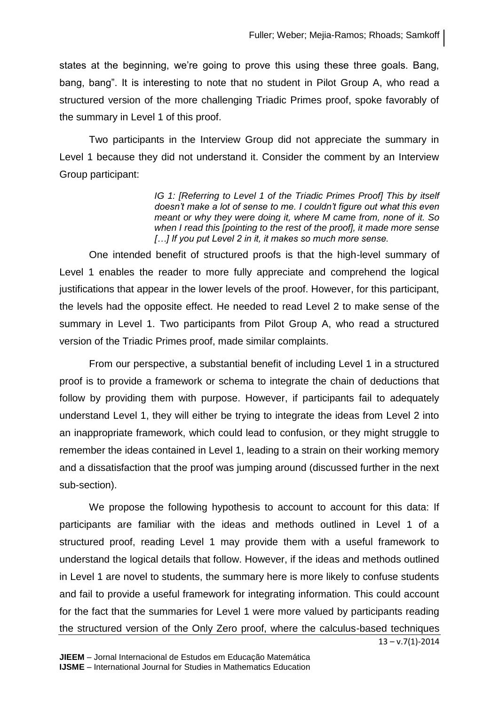states at the beginning, we're going to prove this using these three goals. Bang, bang, bang". It is interesting to note that no student in Pilot Group A, who read a structured version of the more challenging Triadic Primes proof, spoke favorably of the summary in Level 1 of this proof.

Two participants in the Interview Group did not appreciate the summary in Level 1 because they did not understand it. Consider the comment by an Interview Group participant:

> *IG 1: [Referring to Level 1 of the Triadic Primes Proof] This by itself doesn't make a lot of sense to me. I couldn't figure out what this even meant or why they were doing it, where M came from, none of it. So when I read this [pointing to the rest of the proof], it made more sense […] If you put Level 2 in it, it makes so much more sense.*

One intended benefit of structured proofs is that the high-level summary of Level 1 enables the reader to more fully appreciate and comprehend the logical justifications that appear in the lower levels of the proof. However, for this participant, the levels had the opposite effect. He needed to read Level 2 to make sense of the summary in Level 1. Two participants from Pilot Group A, who read a structured version of the Triadic Primes proof, made similar complaints.

From our perspective, a substantial benefit of including Level 1 in a structured proof is to provide a framework or schema to integrate the chain of deductions that follow by providing them with purpose. However, if participants fail to adequately understand Level 1, they will either be trying to integrate the ideas from Level 2 into an inappropriate framework, which could lead to confusion, or they might struggle to remember the ideas contained in Level 1, leading to a strain on their working memory and a dissatisfaction that the proof was jumping around (discussed further in the next sub-section).

 $13 - v.7(1) - 2014$ We propose the following hypothesis to account to account for this data: If participants are familiar with the ideas and methods outlined in Level 1 of a structured proof, reading Level 1 may provide them with a useful framework to understand the logical details that follow. However, if the ideas and methods outlined in Level 1 are novel to students, the summary here is more likely to confuse students and fail to provide a useful framework for integrating information. This could account for the fact that the summaries for Level 1 were more valued by participants reading the structured version of the Only Zero proof, where the calculus-based techniques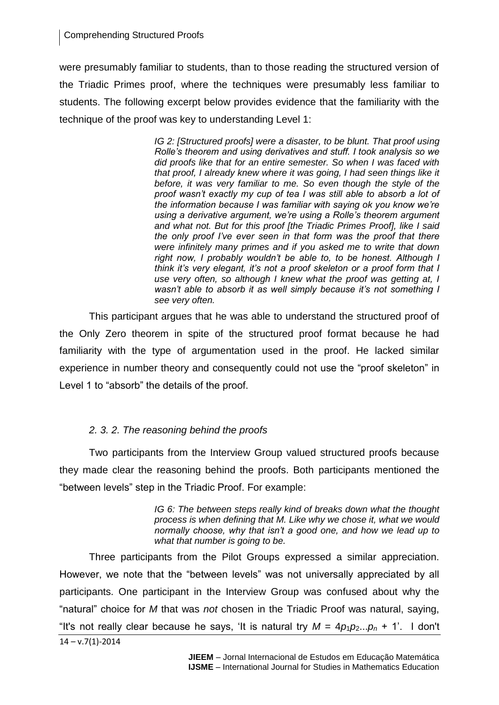were presumably familiar to students, than to those reading the structured version of the Triadic Primes proof, where the techniques were presumably less familiar to students. The following excerpt below provides evidence that the familiarity with the technique of the proof was key to understanding Level 1:

> *IG 2: [Structured proofs] were a disaster, to be blunt. That proof using Rolle's theorem and using derivatives and stuff. I took analysis so we did proofs like that for an entire semester. So when I was faced with that proof, I already knew where it was going, I had seen things like it before, it was very familiar to me. So even though the style of the proof wasn't exactly my cup of tea I was still able to absorb a lot of the information because I was familiar with saying ok you know we're using a derivative argument, we're using a Rolle's theorem argument and what not. But for this proof [the Triadic Primes Proof], like I said the only proof I've ever seen in that form was the proof that there were infinitely many primes and if you asked me to write that down right now, I probably wouldn't be able to, to be honest. Although I think it's very elegant, it's not a proof skeleton or a proof form that I use very often, so although I knew what the proof was getting at, I wasn't able to absorb it as well simply because it's not something I see very often.*

This participant argues that he was able to understand the structured proof of the Only Zero theorem in spite of the structured proof format because he had familiarity with the type of argumentation used in the proof. He lacked similar experience in number theory and consequently could not use the "proof skeleton" in Level 1 to "absorb" the details of the proof.

# *2. 3. 2. The reasoning behind the proofs*

Two participants from the Interview Group valued structured proofs because they made clear the reasoning behind the proofs. Both participants mentioned the "between levels" step in the Triadic Proof. For example:

> *IG 6: The between steps really kind of breaks down what the thought process is when defining that M. Like why we chose it, what we would normally choose, why that isn't a good one, and how we lead up to what that number is going to be.*

 $14 - v.7(1) - 2014$ Three participants from the Pilot Groups expressed a similar appreciation. However, we note that the "between levels" was not universally appreciated by all participants. One participant in the Interview Group was confused about why the "natural" choice for *M* that was *not* chosen in the Triadic Proof was natural, saying, "It's not really clear because he says, 'It is natural try  $M = 4p_1p_2...p_n + 1'$ . I don't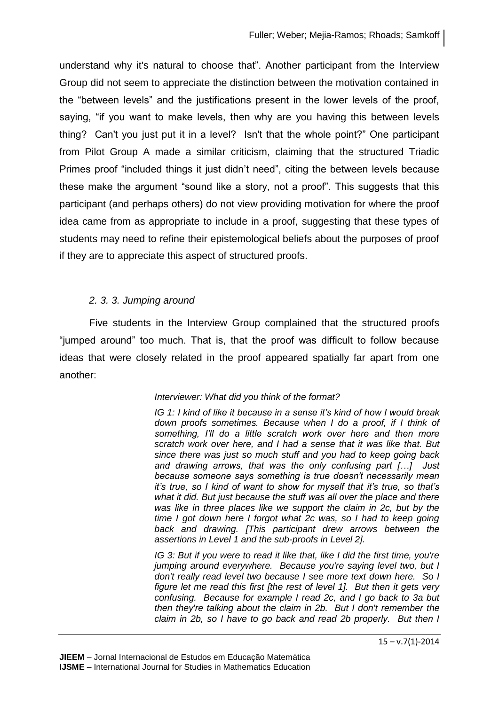understand why it's natural to choose that". Another participant from the Interview Group did not seem to appreciate the distinction between the motivation contained in the "between levels" and the justifications present in the lower levels of the proof, saying, "if you want to make levels, then why are you having this between levels thing? Can't you just put it in a level? Isn't that the whole point?" One participant from Pilot Group A made a similar criticism, claiming that the structured Triadic Primes proof "included things it just didn't need", citing the between levels because these make the argument "sound like a story, not a proof". This suggests that this participant (and perhaps others) do not view providing motivation for where the proof idea came from as appropriate to include in a proof, suggesting that these types of students may need to refine their epistemological beliefs about the purposes of proof if they are to appreciate this aspect of structured proofs.

## *2. 3. 3. Jumping around*

Five students in the Interview Group complained that the structured proofs "jumped around" too much. That is, that the proof was difficult to follow because ideas that were closely related in the proof appeared spatially far apart from one another:

## *Interviewer: What did you think of the format?*

*IG 1: I kind of like it because in a sense it's kind of how I would break down proofs sometimes. Because when I do a proof, if I think of something, I'll do a little scratch work over here and then more scratch work over here, and I had a sense that it was like that. But since there was just so much stuff and you had to keep going back and drawing arrows, that was the only confusing part […] Just because someone says something is true doesn't necessarily mean it's true, so I kind of want to show for myself that it's true, so that's what it did. But just because the stuff was all over the place and there was like in three places like we support the claim in 2c, but by the time I got down here I forgot what 2c was, so I had to keep going back and drawing. [This participant drew arrows between the assertions in Level 1 and the sub-proofs in Level 2].*

*IG 3: But if you were to read it like that, like I did the first time, you're jumping around everywhere. Because you're saying level two, but I don't really read level two because I see more text down here. So I figure let me read this first [the rest of level 1]. But then it gets very confusing. Because for example I read 2c, and I go back to 3a but then they're talking about the claim in 2b. But I don't remember the claim in 2b, so I have to go back and read 2b properly. But then I*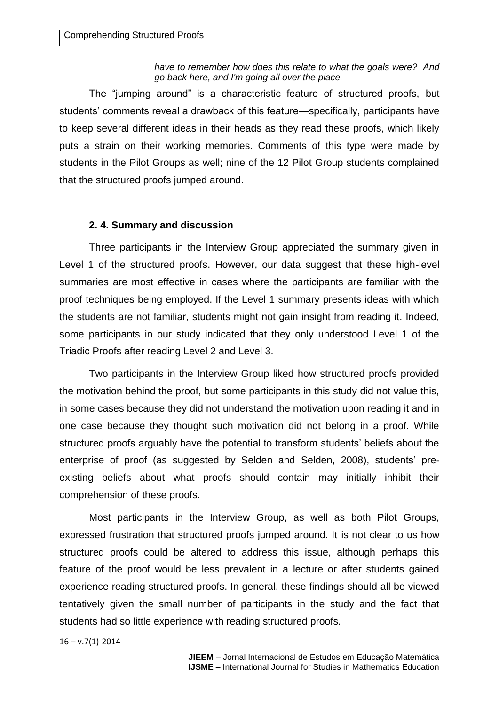*have to remember how does this relate to what the goals were? And go back here, and I'm going all over the place.*

The "jumping around" is a characteristic feature of structured proofs, but students' comments reveal a drawback of this feature—specifically, participants have to keep several different ideas in their heads as they read these proofs, which likely puts a strain on their working memories. Comments of this type were made by students in the Pilot Groups as well; nine of the 12 Pilot Group students complained that the structured proofs jumped around.

## **2. 4. Summary and discussion**

Three participants in the Interview Group appreciated the summary given in Level 1 of the structured proofs. However, our data suggest that these high-level summaries are most effective in cases where the participants are familiar with the proof techniques being employed. If the Level 1 summary presents ideas with which the students are not familiar, students might not gain insight from reading it. Indeed, some participants in our study indicated that they only understood Level 1 of the Triadic Proofs after reading Level 2 and Level 3.

Two participants in the Interview Group liked how structured proofs provided the motivation behind the proof, but some participants in this study did not value this, in some cases because they did not understand the motivation upon reading it and in one case because they thought such motivation did not belong in a proof. While structured proofs arguably have the potential to transform students' beliefs about the enterprise of proof (as suggested by Selden and Selden, 2008), students' preexisting beliefs about what proofs should contain may initially inhibit their comprehension of these proofs.

Most participants in the Interview Group, as well as both Pilot Groups, expressed frustration that structured proofs jumped around. It is not clear to us how structured proofs could be altered to address this issue, although perhaps this feature of the proof would be less prevalent in a lecture or after students gained experience reading structured proofs. In general, these findings should all be viewed tentatively given the small number of participants in the study and the fact that students had so little experience with reading structured proofs.

 $16 - v.7(1) - 2014$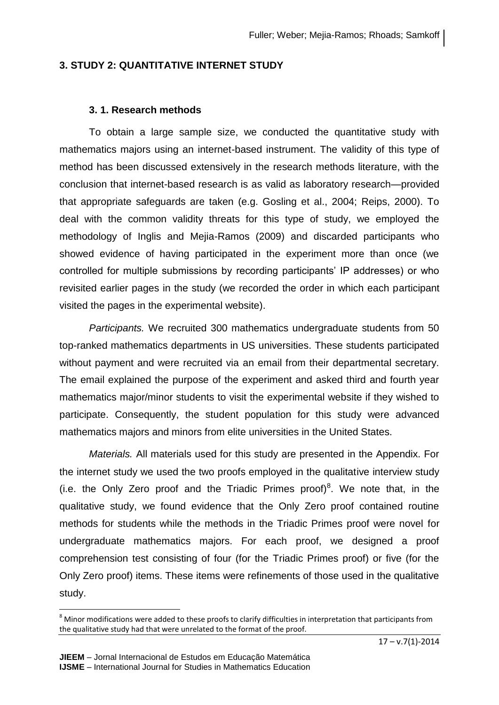# **3. STUDY 2: QUANTITATIVE INTERNET STUDY**

# **3. 1. Research methods**

To obtain a large sample size, we conducted the quantitative study with mathematics majors using an internet-based instrument. The validity of this type of method has been discussed extensively in the research methods literature, with the conclusion that internet-based research is as valid as laboratory research—provided that appropriate safeguards are taken (e.g. Gosling et al., 2004; Reips, 2000). To deal with the common validity threats for this type of study, we employed the methodology of Inglis and Mejia-Ramos (2009) and discarded participants who showed evidence of having participated in the experiment more than once (we controlled for multiple submissions by recording participants' IP addresses) or who revisited earlier pages in the study (we recorded the order in which each participant visited the pages in the experimental website).

*Participants.* We recruited 300 mathematics undergraduate students from 50 top-ranked mathematics departments in US universities. These students participated without payment and were recruited via an email from their departmental secretary. The email explained the purpose of the experiment and asked third and fourth year mathematics major/minor students to visit the experimental website if they wished to participate. Consequently, the student population for this study were advanced mathematics majors and minors from elite universities in the United States.

*Materials.* All materials used for this study are presented in the Appendix. For the internet study we used the two proofs employed in the qualitative interview study (i.e. the Only Zero proof and the Triadic Primes proof)<sup>8</sup>. We note that, in the qualitative study, we found evidence that the Only Zero proof contained routine methods for students while the methods in the Triadic Primes proof were novel for undergraduate mathematics majors. For each proof, we designed a proof comprehension test consisting of four (for the Triadic Primes proof) or five (for the Only Zero proof) items. These items were refinements of those used in the qualitative study.

l

 $8$  Minor modifications were added to these proofs to clarify difficulties in interpretation that participants from the qualitative study had that were unrelated to the format of the proof.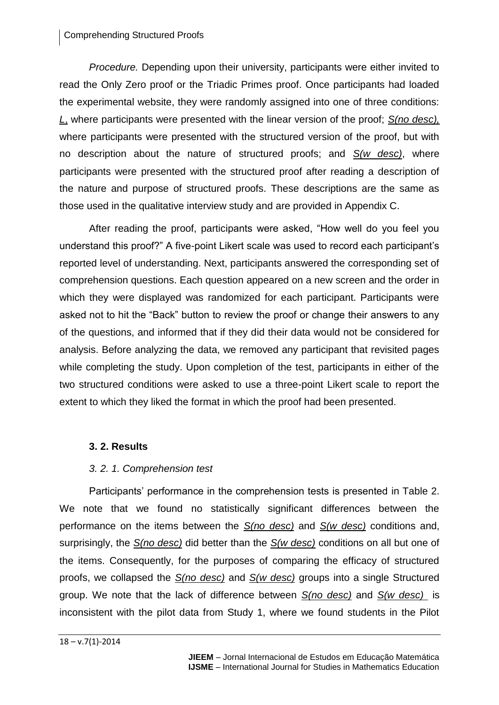### Comprehending Structured Proofs

*Procedure.* Depending upon their university, participants were either invited to read the Only Zero proof or the Triadic Primes proof. Once participants had loaded the experimental website, they were randomly assigned into one of three conditions: *L*, where participants were presented with the linear version of the proof; *S(no desc),* where participants were presented with the structured version of the proof, but with no description about the nature of structured proofs; and *S(w desc)*, where participants were presented with the structured proof after reading a description of the nature and purpose of structured proofs. These descriptions are the same as those used in the qualitative interview study and are provided in Appendix C.

After reading the proof, participants were asked, "How well do you feel you understand this proof?" A five-point Likert scale was used to record each participant's reported level of understanding. Next, participants answered the corresponding set of comprehension questions. Each question appeared on a new screen and the order in which they were displayed was randomized for each participant. Participants were asked not to hit the "Back" button to review the proof or change their answers to any of the questions, and informed that if they did their data would not be considered for analysis. Before analyzing the data, we removed any participant that revisited pages while completing the study. Upon completion of the test, participants in either of the two structured conditions were asked to use a three-point Likert scale to report the extent to which they liked the format in which the proof had been presented.

## **3. 2. Results**

## *3. 2. 1. Comprehension test*

Participants' performance in the comprehension tests is presented in Table 2. We note that we found no statistically significant differences between the performance on the items between the *S(no desc)* and *S(w desc)* conditions and, surprisingly, the *S(no desc)* did better than the *S(w desc)* conditions on all but one of the items. Consequently, for the purposes of comparing the efficacy of structured proofs, we collapsed the *S(no desc)* and *S(w desc)* groups into a single Structured group. We note that the lack of difference between *S(no desc)* and *S(w desc)* is inconsistent with the pilot data from Study 1, where we found students in the Pilot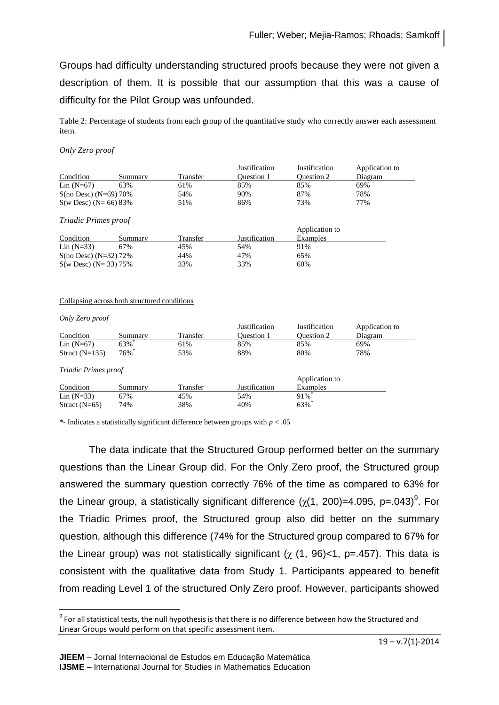Groups had difficulty understanding structured proofs because they were not given a description of them. It is possible that our assumption that this was a cause of difficulty for the Pilot Group was unfounded.

Table 2: Percentage of students from each group of the quantitative study who correctly answer each assessment item*.* 

#### *Only Zero proof*

|                             |         |          | Justification     | Justification | Application to |
|-----------------------------|---------|----------|-------------------|---------------|----------------|
| Condition                   | Summary | Transfer | <b>Ouestion 1</b> | Ouestion 2    | Diagram        |
| Lin $(N=67)$                | 63%     | 61%      | 85%               | 85%           | 69%            |
| $S(no$ Desc) $(N=69)$ 70%   |         | 54%      | 90%               | 87%           | 78%            |
| $S(w$ Desc) (N= 66) 83%     |         | 51%      | 86%               | 73%           | 77%            |
| <i>Triadic Primes proof</i> |         |          |                   |               |                |

| Condition                 | Summary | Transfer | Justification | Application to<br>Examples |
|---------------------------|---------|----------|---------------|----------------------------|
| $Lin(N=33)$               | 67%     | 45%      | 54%           | 91%                        |
| $S(no$ Desc) $(N=32)$ 72% |         | 44%      | 47%           | 65%                        |
| $S(w$ Desc) (N= 33) 75%   |         | 33%      | 33%           | 60%                        |

#### Collapsing across both structured conditions

*Only Zero proof*

l

|                      |                     |          | Justification | Justification       | Application to |
|----------------------|---------------------|----------|---------------|---------------------|----------------|
| Condition            | Summarv             | Transfer | Ouestion 1    | Ouestion 2          | Diagram        |
| Lin $(N=67)$         | $63\%$ *            | 61%      | 85%           | 85%                 | 69%            |
| Struct $(N=135)$     | $76\%$ <sup>*</sup> | 53%      | 88%           | 80%                 | 78%            |
| Triadic Primes proof |                     |          |               |                     |                |
|                      |                     |          |               | Application to      |                |
| Condition            | Summary             | Transfer | Justification | Examples            |                |
| $Lin (N=33)$         | 67%                 | 45%      | 54%           | $91\%$ <sup>*</sup> |                |
| Struct $(N=65)$      | 74%                 | 38%      | 40%           | $63\%$              |                |

\*- Indicates a statistically significant difference between groups with *p* < .05

The data indicate that the Structured Group performed better on the summary questions than the Linear Group did. For the Only Zero proof, the Structured group answered the summary question correctly 76% of the time as compared to 63% for the Linear group, a statistically significant difference ( $\chi$ (1, 200)=4.095, p=.043)<sup>9</sup>. For the Triadic Primes proof, the Structured group also did better on the summary question, although this difference (74% for the Structured group compared to 67% for the Linear group) was not statistically significant ( $\chi$  (1, 96)<1, p=.457). This data is consistent with the qualitative data from Study 1. Participants appeared to benefit from reading Level 1 of the structured Only Zero proof. However, participants showed

 $^9$  For all statistical tests, the null hypothesis is that there is no difference between how the Structured and Linear Groups would perform on that specific assessment item.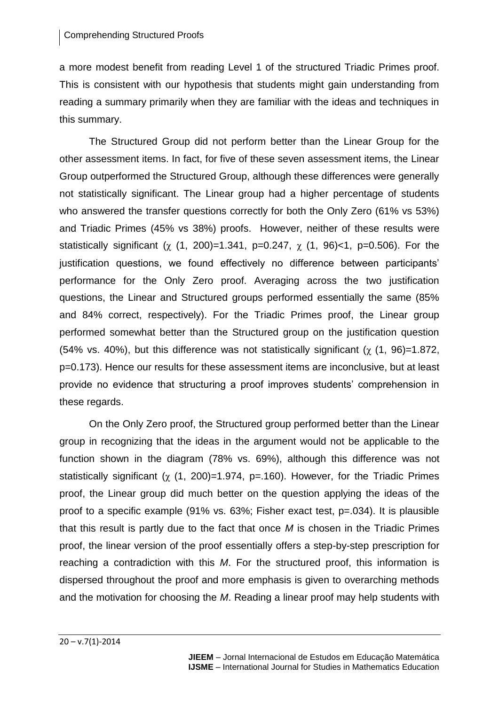a more modest benefit from reading Level 1 of the structured Triadic Primes proof. This is consistent with our hypothesis that students might gain understanding from reading a summary primarily when they are familiar with the ideas and techniques in this summary.

The Structured Group did not perform better than the Linear Group for the other assessment items. In fact, for five of these seven assessment items, the Linear Group outperformed the Structured Group, although these differences were generally not statistically significant. The Linear group had a higher percentage of students who answered the transfer questions correctly for both the Only Zero (61% vs 53%) and Triadic Primes (45% vs 38%) proofs. However, neither of these results were statistically significant ( $\chi$  (1, 200)=1.341, p=0.247,  $\chi$  (1, 96)<1, p=0.506). For the justification questions, we found effectively no difference between participants' performance for the Only Zero proof. Averaging across the two justification questions, the Linear and Structured groups performed essentially the same (85% and 84% correct, respectively). For the Triadic Primes proof, the Linear group performed somewhat better than the Structured group on the justification question (54% vs. 40%), but this difference was not statistically significant ( $\chi$  (1, 96)=1.872, p=0.173). Hence our results for these assessment items are inconclusive, but at least provide no evidence that structuring a proof improves students' comprehension in these regards.

On the Only Zero proof, the Structured group performed better than the Linear group in recognizing that the ideas in the argument would not be applicable to the function shown in the diagram (78% vs. 69%), although this difference was not statistically significant ( $\chi$  (1, 200)=1.974, p=.160). However, for the Triadic Primes proof, the Linear group did much better on the question applying the ideas of the proof to a specific example (91% vs. 63%; Fisher exact test, p=.034). It is plausible that this result is partly due to the fact that once *M* is chosen in the Triadic Primes proof, the linear version of the proof essentially offers a step-by-step prescription for reaching a contradiction with this *M*. For the structured proof, this information is dispersed throughout the proof and more emphasis is given to overarching methods and the motivation for choosing the *M*. Reading a linear proof may help students with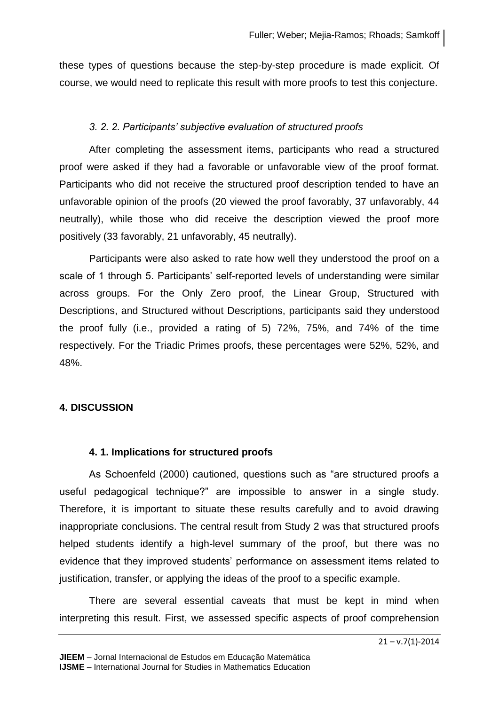these types of questions because the step-by-step procedure is made explicit. Of course, we would need to replicate this result with more proofs to test this conjecture.

# *3. 2. 2. Participants' subjective evaluation of structured proofs*

After completing the assessment items, participants who read a structured proof were asked if they had a favorable or unfavorable view of the proof format. Participants who did not receive the structured proof description tended to have an unfavorable opinion of the proofs (20 viewed the proof favorably, 37 unfavorably, 44 neutrally), while those who did receive the description viewed the proof more positively (33 favorably, 21 unfavorably, 45 neutrally).

Participants were also asked to rate how well they understood the proof on a scale of 1 through 5. Participants' self-reported levels of understanding were similar across groups. For the Only Zero proof, the Linear Group, Structured with Descriptions, and Structured without Descriptions, participants said they understood the proof fully (i.e., provided a rating of 5) 72%, 75%, and 74% of the time respectively. For the Triadic Primes proofs, these percentages were 52%, 52%, and 48%.

# **4. DISCUSSION**

## **4. 1. Implications for structured proofs**

As Schoenfeld (2000) cautioned, questions such as "are structured proofs a useful pedagogical technique?" are impossible to answer in a single study. Therefore, it is important to situate these results carefully and to avoid drawing inappropriate conclusions. The central result from Study 2 was that structured proofs helped students identify a high-level summary of the proof, but there was no evidence that they improved students' performance on assessment items related to justification, transfer, or applying the ideas of the proof to a specific example.

There are several essential caveats that must be kept in mind when interpreting this result. First, we assessed specific aspects of proof comprehension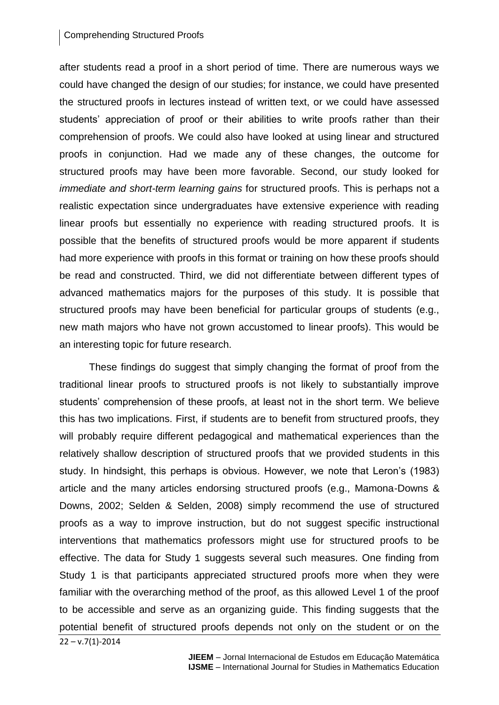### Comprehending Structured Proofs

after students read a proof in a short period of time. There are numerous ways we could have changed the design of our studies; for instance, we could have presented the structured proofs in lectures instead of written text, or we could have assessed students' appreciation of proof or their abilities to write proofs rather than their comprehension of proofs. We could also have looked at using linear and structured proofs in conjunction. Had we made any of these changes, the outcome for structured proofs may have been more favorable. Second, our study looked for *immediate and short-term learning gains* for structured proofs. This is perhaps not a realistic expectation since undergraduates have extensive experience with reading linear proofs but essentially no experience with reading structured proofs. It is possible that the benefits of structured proofs would be more apparent if students had more experience with proofs in this format or training on how these proofs should be read and constructed. Third, we did not differentiate between different types of advanced mathematics majors for the purposes of this study. It is possible that structured proofs may have been beneficial for particular groups of students (e.g., new math majors who have not grown accustomed to linear proofs). This would be an interesting topic for future research.

These findings do suggest that simply changing the format of proof from the traditional linear proofs to structured proofs is not likely to substantially improve students' comprehension of these proofs, at least not in the short term. We believe this has two implications. First, if students are to benefit from structured proofs, they will probably require different pedagogical and mathematical experiences than the relatively shallow description of structured proofs that we provided students in this study. In hindsight, this perhaps is obvious. However, we note that Leron's (1983) article and the many articles endorsing structured proofs (e.g., Mamona-Downs & Downs, 2002; Selden & Selden, 2008) simply recommend the use of structured proofs as a way to improve instruction, but do not suggest specific instructional interventions that mathematics professors might use for structured proofs to be effective. The data for Study 1 suggests several such measures. One finding from Study 1 is that participants appreciated structured proofs more when they were familiar with the overarching method of the proof, as this allowed Level 1 of the proof to be accessible and serve as an organizing guide. This finding suggests that the potential benefit of structured proofs depends not only on the student or on the

 $22 - v.7(1) - 2014$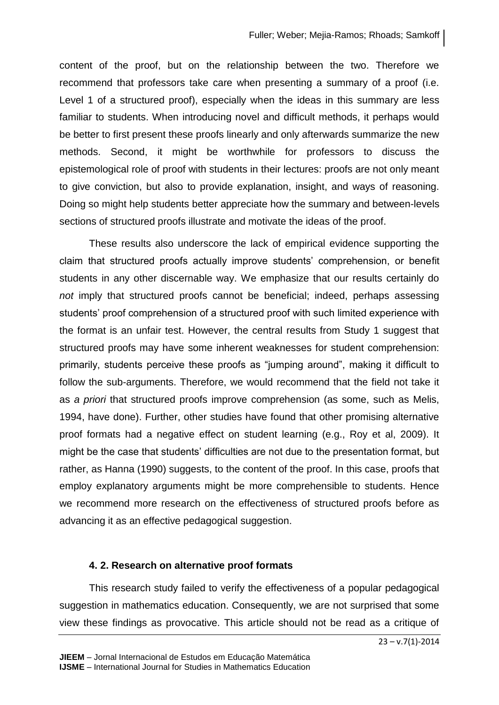content of the proof, but on the relationship between the two. Therefore we recommend that professors take care when presenting a summary of a proof (i.e. Level 1 of a structured proof), especially when the ideas in this summary are less familiar to students. When introducing novel and difficult methods, it perhaps would be better to first present these proofs linearly and only afterwards summarize the new methods. Second, it might be worthwhile for professors to discuss the epistemological role of proof with students in their lectures: proofs are not only meant to give conviction, but also to provide explanation, insight, and ways of reasoning. Doing so might help students better appreciate how the summary and between-levels sections of structured proofs illustrate and motivate the ideas of the proof.

These results also underscore the lack of empirical evidence supporting the claim that structured proofs actually improve students' comprehension, or benefit students in any other discernable way. We emphasize that our results certainly do *not* imply that structured proofs cannot be beneficial; indeed, perhaps assessing students' proof comprehension of a structured proof with such limited experience with the format is an unfair test. However, the central results from Study 1 suggest that structured proofs may have some inherent weaknesses for student comprehension: primarily, students perceive these proofs as "jumping around", making it difficult to follow the sub-arguments. Therefore, we would recommend that the field not take it as *a priori* that structured proofs improve comprehension (as some, such as Melis, 1994, have done). Further, other studies have found that other promising alternative proof formats had a negative effect on student learning (e.g., Roy et al, 2009). It might be the case that students' difficulties are not due to the presentation format, but rather, as Hanna (1990) suggests, to the content of the proof. In this case, proofs that employ explanatory arguments might be more comprehensible to students. Hence we recommend more research on the effectiveness of structured proofs before as advancing it as an effective pedagogical suggestion.

### **4. 2. Research on alternative proof formats**

This research study failed to verify the effectiveness of a popular pedagogical suggestion in mathematics education. Consequently, we are not surprised that some view these findings as provocative. This article should not be read as a critique of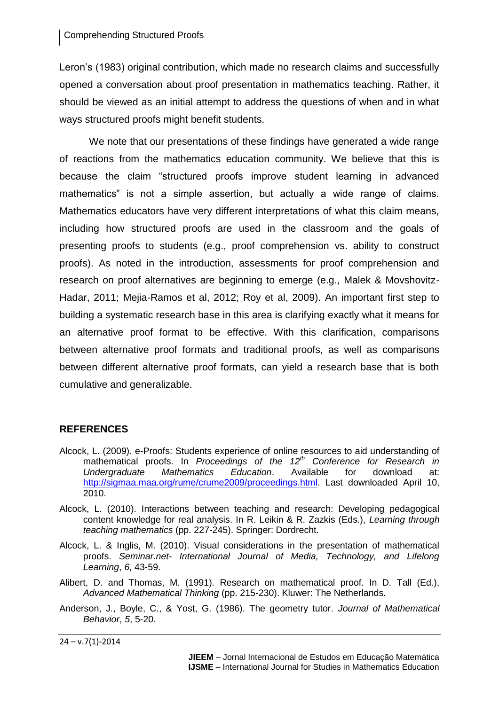### Comprehending Structured Proofs

Leron's (1983) original contribution, which made no research claims and successfully opened a conversation about proof presentation in mathematics teaching. Rather, it should be viewed as an initial attempt to address the questions of when and in what ways structured proofs might benefit students.

We note that our presentations of these findings have generated a wide range of reactions from the mathematics education community. We believe that this is because the claim "structured proofs improve student learning in advanced mathematics" is not a simple assertion, but actually a wide range of claims. Mathematics educators have very different interpretations of what this claim means, including how structured proofs are used in the classroom and the goals of presenting proofs to students (e.g., proof comprehension vs. ability to construct proofs). As noted in the introduction, assessments for proof comprehension and research on proof alternatives are beginning to emerge (e.g., Malek & Movshovitz-Hadar, 2011; Mejia-Ramos et al, 2012; Roy et al, 2009). An important first step to building a systematic research base in this area is clarifying exactly what it means for an alternative proof format to be effective. With this clarification, comparisons between alternative proof formats and traditional proofs, as well as comparisons between different alternative proof formats, can yield a research base that is both cumulative and generalizable.

## **REFERENCES**

- Alcock, L. (2009). e-Proofs: Students experience of online resources to aid understanding of mathematical proofs. In *Proceedings of the 12th Conference for Research in Undergraduate Mathematics Education*. Available for download at: [http://sigmaa.maa.org/rume/crume2009/proceedings.html.](http://sigmaa.maa.org/rume/crume2009/proceedings.html) Last downloaded April 10, 2010.
- Alcock, L. (2010). Interactions between teaching and research: Developing pedagogical content knowledge for real analysis. In R. Leikin & R. Zazkis (Eds.), *Learning through teaching mathematics* (pp. 227-245). Springer: Dordrecht.
- Alcock, L. & Inglis, M. (2010). Visual considerations in the presentation of mathematical proofs. *Seminar.net- International Journal of Media, Technology, and Lifelong Learning*, *6*, 43-59.
- Alibert, D. and Thomas, M. (1991). Research on mathematical proof. In D. Tall (Ed.), *Advanced Mathematical Thinking* (pp. 215-230). Kluwer: The Netherlands.
- Anderson, J., Boyle, C., & Yost, G. (1986). The geometry tutor. *Journal of Mathematical Behavior*, *5*, 5-20.

 $24 - v.7(1) - 2014$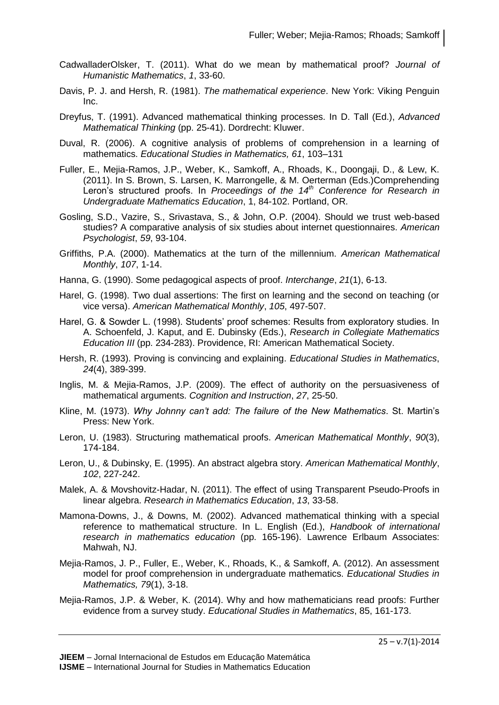- CadwalladerOlsker, T. (2011). What do we mean by mathematical proof? *Journal of Humanistic Mathematics*, *1*, 33-60.
- Davis, P. J. and Hersh, R. (1981). *The mathematical experience*. New York: Viking Penguin Inc.
- Dreyfus, T. (1991). Advanced mathematical thinking processes. In D. Tall (Ed.), *Advanced Mathematical Thinking* (pp. 25-41). Dordrecht: Kluwer.
- Duval, R. (2006). A cognitive analysis of problems of comprehension in a learning of mathematics. *Educational Studies in Mathematics, 61*, 103–131
- Fuller, E., Mejia-Ramos, J.P., Weber, K., Samkoff, A., Rhoads, K., Doongaji, D., & Lew, K. (2011). In S. Brown, S. Larsen, K. Marrongelle, & M. Oerterman (Eds.)Comprehending Leron's structured proofs. In *Proceedings of the 14th Conference for Research in Undergraduate Mathematics Education*, 1, 84-102. Portland, OR.
- Gosling, S.D., Vazire, S., Srivastava, S., & John, O.P. (2004). Should we trust web-based studies? A comparative analysis of six studies about internet questionnaires. *American Psychologist*, *59*, 93-104.
- Griffiths, P.A. (2000). Mathematics at the turn of the millennium. *American Mathematical Monthly*, *107*, 1-14.
- Hanna, G. (1990). Some pedagogical aspects of proof. *Interchange*, *21*(1), 6-13.
- Harel, G. (1998). Two dual assertions: The first on learning and the second on teaching (or vice versa). *American Mathematical Monthly*, *105*, 497-507.
- Harel, G. & Sowder L. (1998). Students' proof schemes: Results from exploratory studies. In A. Schoenfeld, J. Kaput, and E. Dubinsky (Eds.), *Research in Collegiate Mathematics Education III* (pp. 234-283). Providence, RI: American Mathematical Society.
- Hersh, R. (1993). Proving is convincing and explaining. *Educational Studies in Mathematics*, *24*(4), 389-399.
- Inglis, M. & Mejia-Ramos, J.P. (2009). The effect of authority on the persuasiveness of mathematical arguments. *Cognition and Instruction*, *27*, 25-50.
- Kline, M. (1973). *Why Johnny can't add: The failure of the New Mathematics*. St. Martin's Press: New York.
- Leron, U. (1983). Structuring mathematical proofs. *American Mathematical Monthly*, *90*(3), 174-184.
- Leron, U., & Dubinsky, E. (1995). An abstract algebra story. *American Mathematical Monthly*, *102*, 227-242.
- Malek, A. & Movshovitz-Hadar, N. (2011). The effect of using Transparent Pseudo-Proofs in linear algebra. *Research in Mathematics Education*, *13*, 33-58.
- Mamona-Downs, J., & Downs, M. (2002). Advanced mathematical thinking with a special reference to mathematical structure. In L. English (Ed.), *Handbook of international research in mathematics education* (pp. 165-196). Lawrence Erlbaum Associates: Mahwah, NJ.
- Mejia-Ramos, J. P., Fuller, E., Weber, K., Rhoads, K., & Samkoff, A. (2012). An assessment model for proof comprehension in undergraduate mathematics. *Educational Studies in Mathematics, 79*(1), 3-18.
- Mejia-Ramos, J.P. & Weber, K. (2014). Why and how mathematicians read proofs: Further evidence from a survey study. *Educational Studies in Mathematics*, 85, 161-173.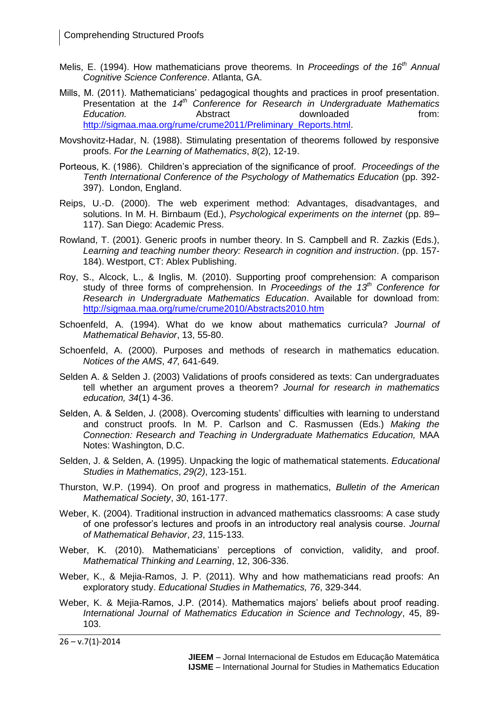- Melis, E. (1994). How mathematicians prove theorems. In *Proceedings of the 16th Annual Cognitive Science Conference*. Atlanta, GA.
- Mills, M. (2011). Mathematicians' pedagogical thoughts and practices in proof presentation. Presentation at the *14th Conference for Research in Undergraduate Mathematics*  **Education. Conserverse Education Education html html Abstract downloaded from:** http://sigmaa.maa.org/rume/crume2011/Preliminary\_Reports.html
- Movshovitz-Hadar, N. (1988). Stimulating presentation of theorems followed by responsive proofs. *For the Learning of Mathematics*, *8*(2), 12-19.
- Porteous, K. (1986). Children's appreciation of the significance of proof. *Proceedings of the Tenth International Conference of the Psychology of Mathematics Education* (pp. 392- 397). London, England.
- Reips, U.-D. (2000). The web experiment method: Advantages, disadvantages, and solutions. In M. H. Birnbaum (Ed.), *Psychological experiments on the internet* (pp. 89– 117). San Diego: Academic Press.
- Rowland, T. (2001). Generic proofs in number theory. In S. Campbell and R. Zazkis (Eds.), *Learning and teaching number theory: Research in cognition and instruction*. (pp. 157- 184). Westport, CT: Ablex Publishing.
- Roy, S., Alcock, L., & Inglis, M. (2010). Supporting proof comprehension: A comparison study of three forms of comprehension. In *Proceedings of the 13th Conference for Research in Undergraduate Mathematics Education*. Available for download from: <http://sigmaa.maa.org/rume/crume2010/Abstracts2010.htm>
- Schoenfeld, A. (1994). What do we know about mathematics curricula? *Journal of Mathematical Behavior*, 13, 55-80.
- Schoenfeld, A. (2000). Purposes and methods of research in mathematics education. *Notices of the AMS*, *47,* 641-649.
- Selden A. & Selden J. (2003) Validations of proofs considered as texts: Can undergraduates tell whether an argument proves a theorem? *Journal for research in mathematics education, 34*(1) 4-36.
- Selden, A. & Selden, J. (2008). Overcoming students' difficulties with learning to understand and construct proofs. In M. P. Carlson and C. Rasmussen (Eds.) *Making the Connection: Research and Teaching in Undergraduate Mathematics Education,* MAA Notes: Washington, D.C.
- Selden, J. & Selden, A. (1995). Unpacking the logic of mathematical statements. *Educational Studies in Mathematics*, *29(2)*, 123-151.
- Thurston, W.P. (1994). On proof and progress in mathematics, *Bulletin of the American Mathematical Society*, *30*, 161-177.
- Weber, K. (2004). Traditional instruction in advanced mathematics classrooms: A case study of one professor's lectures and proofs in an introductory real analysis course. *Journal of Mathematical Behavior*, *23*, 115-133.
- Weber, K. (2010). Mathematicians' perceptions of conviction, validity, and proof. *Mathematical Thinking and Learning*, 12, 306-336.
- Weber, K., & Mejia-Ramos, J. P. (2011). Why and how mathematicians read proofs: An exploratory study. *Educational Studies in Mathematics, 76*, 329-344.
- Weber, K. & Mejia-Ramos, J.P. (2014). Mathematics majors' beliefs about proof reading. *International Journal of Mathematics Education in Science and Technology*, 45, 89- 103.

 $26 - v.7(1) - 2014$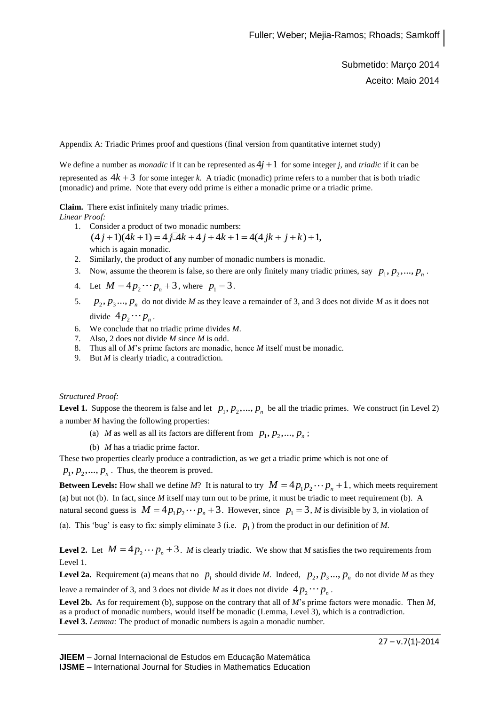Submetido: Março 2014 Aceito: Maio 2014

Appendix A: Triadic Primes proof and questions (final version from quantitative internet study)

We define a number as *monadic* if it can be represented as  $4j + 1$  for some integer *j*, and *triadic* if it can be represented as  $4k + 3$  for some integer *k*. A triadic (monadic) prime refers to a number that is both triadic (monadic) and prime. Note that every odd prime is either a monadic prime or a triadic prime.

**Claim.** There exist infinitely many triadic primes.

*Linear Proof:*

- 1. Consider a product of two monadic numbers: which is again monadic.  $(4 j + 1)(4k + 1) = 4 j[4k + 4 j + 4k + 1] = 4(4 jk + j + k) + 1,$
- 2. Similarly, the product of any number of monadic numbers is monadic.
- 3. Now, assume the theorem is false, so there are only finitely many triadic primes, say  $p_1, p_2, ..., p_n$ .
- 4. Let  $M = 4p_2 \cdots p_n + 3$ , where  $p_1 = 3$ .
- 5.  $p_2, p_3, \ldots, p_n$  do not divide *M* as they leave a remainder of 3, and 3 does not divide *M* as it does not divide  $4p_2 \cdots p_n$ .
- 6. We conclude that no triadic prime divides *M*.
- 7. Also, 2 does not divide *M* since *M* is odd.
- 8. Thus all of *M*'s prime factors are monadic, hence *M* itself must be monadic.
- 9. But *M* is clearly triadic, a contradiction.

*Structured Proof:*

**Level 1.** Suppose the theorem is false and let  $p_1, p_2, ..., p_n$  be all the triadic primes. We construct (in Level 2) a number *M* having the following properties:

- (a) *M* as well as all its factors are different from  $p_1, p_2, ..., p_n$ ;
- (b) *M* has a triadic prime factor.

These two properties clearly produce a contradiction, as we get a triadic prime which is not one of

 $p_1, p_2, \ldots, p_n$ . Thus, the theorem is proved.

**Between Levels:** How shall we define *M*? It is natural to try  $M = 4p_1p_2 \cdots p_n + 1$ , which meets requirement (a) but not (b). In fact, since *M* itself may turn out to be prime, it must be triadic to meet requirement (b). A natural second guess is  $M = 4p_1p_2 \cdots p_n + 3$ . However, since  $p_1 = 3$ , *M* is divisible by 3, in violation of (a). This 'bug' is easy to fix: simply eliminate 3 (i.e.  $p_1$ ) from the product in our definition of *M*.

**Level 2.** Let  $M = 4p_2 \cdots p_n + 3$ . M is clearly triadic. We show that M satisfies the two requirements from Level 1.

**Level 2a.** Requirement (a) means that no  $p_i$  should divide *M*. Indeed,  $p_2, p_3, \ldots, p_n$  do not divide *M* as they leave a remainder of 3, and 3 does not divide *M* as it does not divide  $4p_2 \cdots p_n$ .

**Level 2b.** As for requirement (b), suppose on the contrary that all of *M*'s prime factors were monadic. Then *M*, as a product of monadic numbers, would itself be monadic (Lemma, Level 3), which is a contradiction. **Level 3.** *Lemma:* The product of monadic numbers is again a monadic number.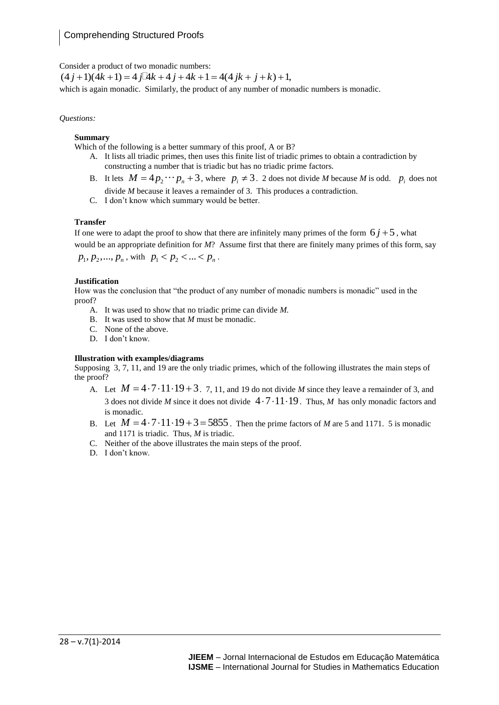Consider a product of two monadic numbers:

which is again monadic. Similarly, the product of any number of monadic numbers is monadic.  $(4 j + 1)(4k + 1) = 4 j \cancel{1} 4k + 4 j + 4k + 1 = 4(4 jk + j + k) + 1,$ 

#### *Questions:*

#### **Summary**

Which of the following is a better summary of this proof, A or B?

- A. It lists all triadic primes, then uses this finite list of triadic primes to obtain a contradiction by constructing a number that is triadic but has no triadic prime factors.
- B. It lets  $M = 4p_2 \cdots p_n + 3$ , where  $p_i \neq 3$ . 2 does not divide *M* because *M* is odd.  $p_i$  does not divide *M* because it leaves a remainder of 3. This produces a contradiction.
- C. I don't know which summary would be better.

#### **Transfer**

If one were to adapt the proof to show that there are infinitely many primes of the form  $6j+5$ , what would be an appropriate definition for *M*? Assume first that there are finitely many primes of this form, say

 $p_1, p_2, ..., p_n$ , with  $p_1 < p_2 < ... < p_n$ .

#### **Justification**

How was the conclusion that "the product of any number of monadic numbers is monadic" used in the proof?

- A. It was used to show that no triadic prime can divide *M.*
- B. It was used to show that *M* must be monadic.
- C. None of the above.
- D. I don't know.

#### **Illustration with examples/diagrams**

Supposing 3, 7, 11, and 19 are the only triadic primes, which of the following illustrates the main steps of the proof?

- A. Let  $M = 4 \cdot 7 \cdot 11 \cdot 19 + 3$ . 7, 11, and 19 do not divide M since they leave a remainder of 3, and 3 does not divide *M* since it does not divide  $4 \cdot 7 \cdot 11 \cdot 19$ . Thus, *M* has only monadic factors and is monadic.
- is monadic.<br>B. Let  $M = 4 \cdot 7 \cdot 11 \cdot 19 + 3 = 5855$ . Then the prime factors of *M* are 5 and 1171. 5 is monadic and 1171 is triadic. Thus, *M* is triadic.
- C. Neither of the above illustrates the main steps of the proof.
- D. I don't know.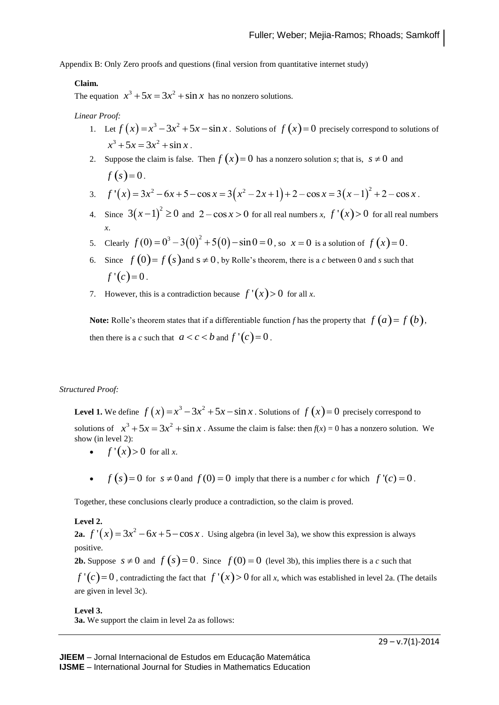Appendix B: Only Zero proofs and questions (final version from quantitative internet study)

#### **Claim.**

The equation  $x^3 + 5x = 3x^2 + \sin x$  has no nonzero solutions.

#### *Linear Proof:*

- 1. Let  $f(x) = x^3 3x^2 + 5x \sin x$ . Solutions of  $f(x) = 0$  precisely correspond to solutions of  $x^3 + 5x = 3x^2 + \sin x$ .
- 2. Suppose the claim is false. Then  $f(x)=0$  has a nonzero solution *s*; that is,  $s \neq 0$  and  $f(s) = 0.$ Suppose the claim is false. Then  $f(x) = 0$  has a nonzero solution *s*; that is,  $s \ne 0$  and<br>  $f(s) = 0$ .<br>  $f'(x) = 3x^2 - 6x + 5 - \cos x = 3(x^2 - 2x + 1) + 2 - \cos x = 3(x - 1)^2 + 2 - \cos x$ .
- 3.  $f'(x) = 3x^2 6x + 5 \cos x = 3(x^2 2x + 1) + 2 \cos x = 3(x-1)^2 + 2 \cos x$ .
- 4. Since  $3(x-1)^2 \ge 0$  and  $2-\cos x > 0$  for all real numbers *x*,  $f'(x) > 0$  for all real numbers *x*.
- 5. Clearly  $f(0) = 0^3 3(0)^2 + 5(0) \sin 0 = 0$ , so  $x = 0$  is a solution of  $f(x) = 0$ .  $f(0) = 0^3 - 3(0)^2 + 5(0) - \sin 0 = 0$ , so  $x = 0$  is a solution of  $f(x) = 0$
- 6. Since  $f(0) = f(s)$  and  $s \ne 0$ , by Rolle's theorem, there is a *c* between 0 and *s* such that  $f'(c)=0$ .
- 7. However, this is a contradiction because  $f'(x) > 0$  for all *x*.

**Note:** Rolle's theorem states that if a differentiable function *f* has the property that  $f(a) = f(b)$ , then there is a *c* such that  $a < c < b$  and  $f'(c) = 0$ .

#### *Structured Proof:*

**Level 1.** We define  $f(x) = x^3 - 3x^2 + 5x - \sin x$ . Solutions of  $f(x) = 0$  precisely correspond to solutions of  $x^3 + 5x = 3x^2 + \sin x$ . Assume the claim is false: then  $f(x) = 0$  has a nonzero solution. We show (in level 2):

- $f'(x) > 0$  for all *x*.
- $f(s) = 0$  for  $s \neq 0$  and  $f(0) = 0$  imply that there is a number *c* for which  $f'(c) = 0$ .

Together, these conclusions clearly produce a contradiction, so the claim is proved.

#### **Level 2.**

**2a.**  $f'(x) = 3x^2 - 6x + 5 - \cos x$ . Using algebra (in level 3a), we show this expression is always positive. *f*  $'(x) = 3x^2 - 6x + 5 - \cos x$ 

**2b.** Suppose  $s \neq 0$  and  $f(s) = 0$ . Since  $f(0) = 0$  (level 3b), this implies there is a *c* such that

 $f'(c) = 0$ , contradicting the fact that  $f'(x) > 0$  for all *x*, which was established in level 2a. (The details are given in level 3c).

**Level 3. 3a.** We support the claim in level 2a as follows: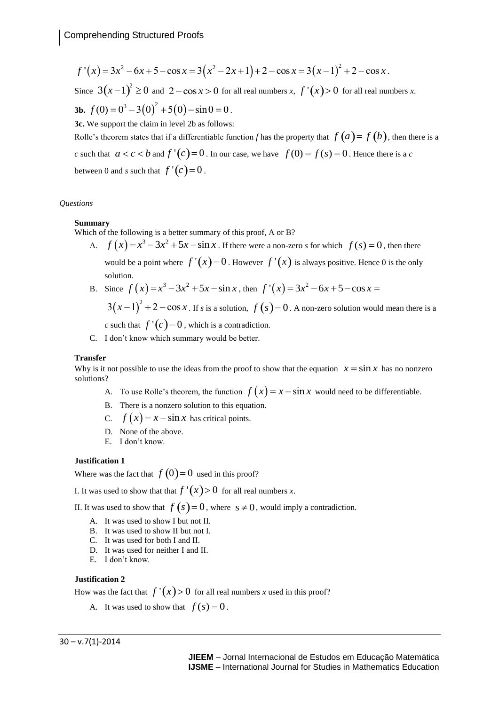imprehending Structured Proofs  
\n
$$
f'(x) = 3x^2 - 6x + 5 - \cos x = 3(x^2 - 2x + 1) + 2 - \cos x = 3(x - 1)^2 + 2 - \cos x.
$$
\nSince  $3(x-1)^2 \ge 0$  and  $2 - \cos x > 0$  for all real numbers x,  $f'(x) > 0$  for all real numbers x.

**3b.**  $f(0) = 0^3 - 3(0)^2 + 5(0) - \sin 0 = 0$ .  $3(x-1)^2 \ge 0$  and  $2-\cos x > 0$  for all real numbers x,  $f'(x) > 0$  $f(0) = 0^3 - 3(0)^2 + 5(0) - \sin 0 = 0$ .

**3c.** We support the claim in level 2b as follows:

Rolle's theorem states that if a differentiable function *f* has the property that  $f(a) = f(b)$ , then there is a *c* such that  $a < c < b$  and  $f'(c) = 0$ . In our case, we have  $f(0) = f(s) = 0$ . Hence there is a *c* between 0 and *s* such that  $f'(c) = 0$ .

#### *Questions*

#### **Summary**

Which of the following is a better summary of this proof, A or B?

- A.  $f(x) = x^3 3x^2 + 5x \sin x$ . If there were a non-zero *s* for which  $f(s) = 0$ , then there would be a point where  $f'(x) = 0$ . However  $f'(x)$  is always positive. Hence 0 is the only solution.
- B. Since  $f(x) = x^3 3x^2 + 5x \sin x$ , then  $f'(x)$ 2  $f'(x) = 3x^2 - 6x + 5 - \cos x =$

 $3(x-1)^2 + 2 - \cos x$ . If *s* is a solution,  $f(s) = 0$ . A non-zero solution would mean there is a *c* such that  $f'(c) = 0$ , which is a contradiction.

C. I don't know which summary would be better.

#### **Transfer**

Why is it not possible to use the ideas from the proof to show that the equation  $x = \sin x$  has no nonzero solutions?

- A. To use Rolle's theorem, the function  $f(x) = x \sin x$  would need to be differentiable.
- B. There is a nonzero solution to this equation.
- C.  $f(x) = x \sin x$  has critical points.
- D. None of the above.
- E. I don't know.

#### **Justification 1**

Where was the fact that  $f(0)=0$  used in this proof?

I. It was used to show that that  $f'(x) > 0$  for all real numbers *x*.

II. It was used to show that  $f(s) = 0$ , where  $s \neq 0$ , would imply a contradiction.

- A. It was used to show I but not II.
- B. It was used to show II but not I.
- C. It was used for both I and II.
- D. It was used for neither I and II.
- E. I don't know.

#### **Justification 2**

How was the fact that  $f'(x) > 0$  for all real numbers *x* used in this proof?

A. It was used to show that  $f(s) = 0$ .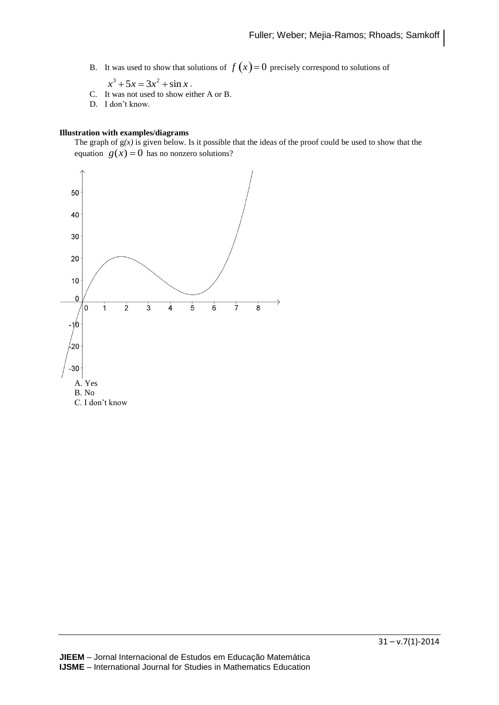B. It was used to show that solutions of  $f(x)=0$  precisely correspond to solutions of

 $x^3 + 5x = 3x^2 + \sin x$ .

- C. It was not used to show either A or B.
- D. I don't know.

#### **Illustration with examples/diagrams**

The graph of  $g(x)$  is given below. Is it possible that the ideas of the proof could be used to show that the equation  $g(x) = 0$  has no nonzero solutions?